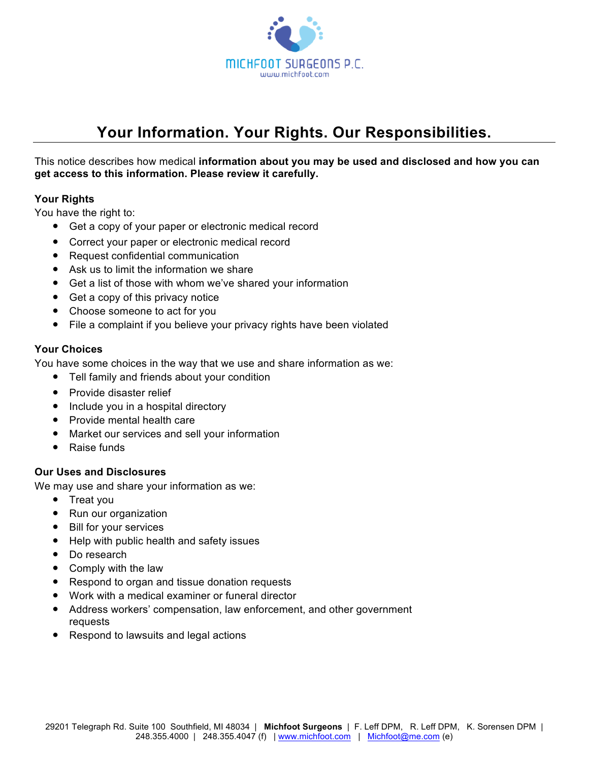

# **Your Information. Your Rights. Our Responsibilities.**

## This notice describes how medical **information about you may be used and disclosed and how you can get access to this information. Please review it carefully.**

# **Your Rights**

You have the right to:

- Get a copy of your paper or electronic medical record
- Correct your paper or electronic medical record
- Request confidential communication
- Ask us to limit the information we share
- Get a list of those with whom we've shared your information
- Get a copy of this privacy notice
- Choose someone to act for you
- File a complaint if you believe your privacy rights have been violated

# **Your Choices**

You have some choices in the way that we use and share information as we:

- Tell family and friends about your condition
- Provide disaster relief
- Include you in a hospital directory
- Provide mental health care
- Market our services and sell your information
- Raise funds

## **Our Uses and Disclosures**

We may use and share your information as we:

- Treat you
- Run our organization
- Bill for your services
- Help with public health and safety issues
- Do research
- Comply with the law
- Respond to organ and tissue donation requests
- Work with a medical examiner or funeral director
- Address workers' compensation, law enforcement, and other government requests
- Respond to lawsuits and legal actions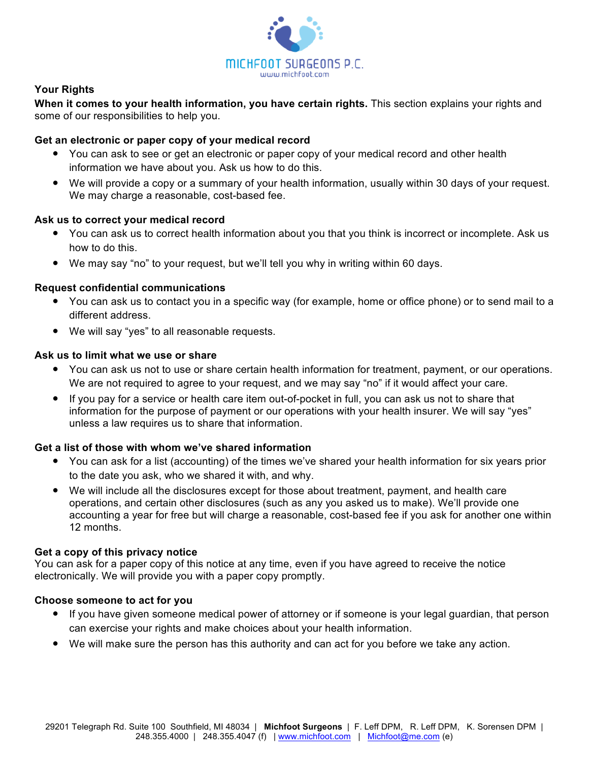

## **Your Rights**

**When it comes to your health information, you have certain rights.** This section explains your rights and some of our responsibilities to help you.

## **Get an electronic or paper copy of your medical record**

- You can ask to see or get an electronic or paper copy of your medical record and other health information we have about you. Ask us how to do this.
- We will provide a copy or a summary of your health information, usually within 30 days of your request. We may charge a reasonable, cost-based fee.

## **Ask us to correct your medical record**

- You can ask us to correct health information about you that you think is incorrect or incomplete. Ask us how to do this.
- We may say "no" to your request, but we'll tell you why in writing within 60 days.

## **Request confidential communications**

- You can ask us to contact you in a specific way (for example, home or office phone) or to send mail to a different address.
- We will say "yes" to all reasonable requests.

#### **Ask us to limit what we use or share**

- You can ask us not to use or share certain health information for treatment, payment, or our operations. We are not required to agree to your request, and we may say "no" if it would affect your care.
- If you pay for a service or health care item out-of-pocket in full, you can ask us not to share that information for the purpose of payment or our operations with your health insurer. We will say "yes" unless a law requires us to share that information.

#### **Get a list of those with whom we've shared information**

- You can ask for a list (accounting) of the times we've shared your health information for six years prior to the date you ask, who we shared it with, and why.
- We will include all the disclosures except for those about treatment, payment, and health care operations, and certain other disclosures (such as any you asked us to make). We'll provide one accounting a year for free but will charge a reasonable, cost-based fee if you ask for another one within 12 months.

#### **Get a copy of this privacy notice**

You can ask for a paper copy of this notice at any time, even if you have agreed to receive the notice electronically. We will provide you with a paper copy promptly.

#### **Choose someone to act for you**

- If you have given someone medical power of attorney or if someone is your legal guardian, that person can exercise your rights and make choices about your health information.
- We will make sure the person has this authority and can act for you before we take any action.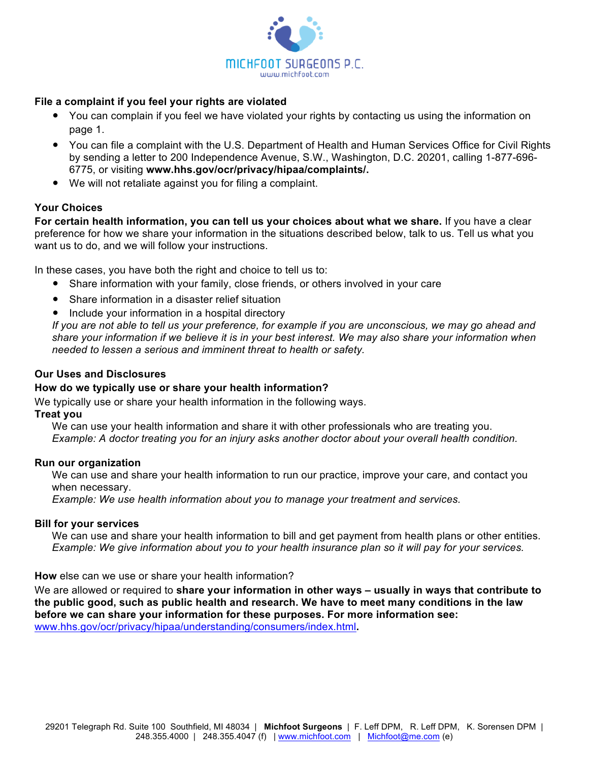

## **File a complaint if you feel your rights are violated**

- You can complain if you feel we have violated your rights by contacting us using the information on page 1.
- You can file a complaint with the U.S. Department of Health and Human Services Office for Civil Rights by sending a letter to 200 Independence Avenue, S.W., Washington, D.C. 20201, calling 1-877-696- 6775, or visiting **www.hhs.gov/ocr/privacy/hipaa/complaints/.**
- We will not retaliate against you for filing a complaint.

#### **Your Choices**

**For certain health information, you can tell us your choices about what we share.** If you have a clear preference for how we share your information in the situations described below, talk to us. Tell us what you want us to do, and we will follow your instructions.

In these cases, you have both the right and choice to tell us to:

- Share information with your family, close friends, or others involved in your care
- Share information in a disaster relief situation
- Include your information in a hospital directory

*If you are not able to tell us your preference, for example if you are unconscious, we may go ahead and share your information if we believe it is in your best interest. We may also share your information when needed to lessen a serious and imminent threat to health or safety.*

#### **Our Uses and Disclosures**

#### **How do we typically use or share your health information?**

We typically use or share your health information in the following ways.

#### **Treat you**

We can use your health information and share it with other professionals who are treating you. *Example: A doctor treating you for an injury asks another doctor about your overall health condition.*

#### **Run our organization**

We can use and share your health information to run our practice, improve your care, and contact you when necessary.

*Example: We use health information about you to manage your treatment and services.* 

#### **Bill for your services**

We can use and share your health information to bill and get payment from health plans or other entities. *Example: We give information about you to your health insurance plan so it will pay for your services.* 

#### **How** else can we use or share your health information?

We are allowed or required to **share your information in other ways – usually in ways that contribute to the public good, such as public health and research. We have to meet many conditions in the law before we can share your information for these purposes. For more information see:**  www.hhs.gov/ocr/privacy/hipaa/understanding/consumers/index.html**.**